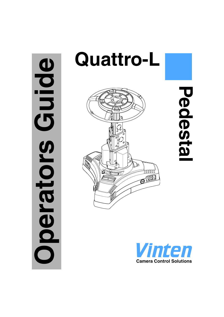# **Oping Operators Guide** perators





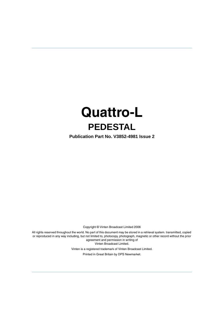# **Quattro-L PEDESTAL**

**Publication Part No. V3852-4981 Issue 2**

Copyright © Vinten Broadcast Limited 2006

All rights reserved throughout the world. No part of this document may be stored in a retrieval system. transmitted, copied or reproduced in any way including, but not limited to, photocopy, photograph, magnetic or other record without the prior agreement and permission in writing of Vinten Broadcast Limited.

> Vinten is a registered trademark of Vinten Broadcast Limited. Printed in Great Britain by DPS Newmarket.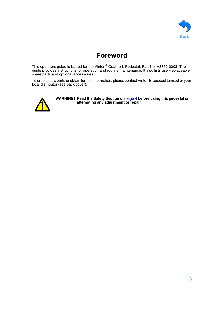

# **Foreword**

<span id="page-2-0"></span>This operators guide is issued for the Vinten® Quattro-L Pedestal, Part No. V3852-0003. The guide provides instructions for operation and routine maintenance. It also lists user-replaceable spare parts and optional accessories.

To order spare parts or obtain further information, please contact Vinten Broadcast Limited or your local distributor (see back cover).



**WARNING! Read the Safety Section on** [page 4](#page-3-0) **before using this pedestal or attempting any adjustment or repair**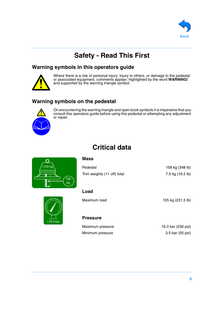

# **Safety - Read This First**

#### <span id="page-3-0"></span>**Warning symbols in this operators guide**



Where there is a risk of personal injury, injury to others, or damage to the pedestal or associated equipment, comments appear, highlighted by the word **WARNING!** and supported by the warning triangle symbol.

# **Warning symbols on the pedestal**



On encountering the warning triangle and open book symbols it is imperative that you consult this operators guide before using this pedestal or attempting any adjustment or repair.

# **Critical data**

<span id="page-3-1"></span>

| ◎                    | <b>Mass</b>                 |                  |
|----------------------|-----------------------------|------------------|
| <sup>/</sup> ≤105 kg | Pedestal                    | 158 kg (348 lb)  |
| 158<br>kg            | Trim weights (11 off) total | 7.5 kg (16.5 lb) |

# **Load**

Maximum load 105 kg (231.5 lb)

# ≤16.3 bar

#### **Pressure**

Maximum pressure 16.3 bar (236 psi) Minimum pressure 3.5 bar (50 psi)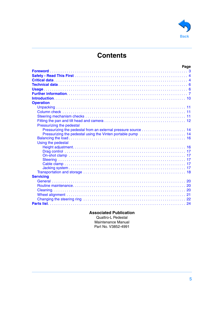

# **Contents**

|                           | Page |
|---------------------------|------|
|                           |      |
|                           |      |
|                           |      |
|                           |      |
|                           |      |
|                           |      |
|                           |      |
| <b>Operation</b>          |      |
|                           |      |
|                           |      |
|                           |      |
|                           |      |
|                           |      |
| Pressurizing the pedestal |      |
|                           |      |
|                           |      |
|                           |      |
| Using the pedestal        |      |
|                           |      |
|                           |      |
|                           |      |
|                           |      |
|                           |      |
|                           |      |
|                           |      |
| <b>Servicing</b>          |      |
|                           |      |
|                           |      |
|                           |      |
|                           |      |
|                           |      |
|                           |      |
|                           |      |

#### **Associated Publication**

Quattro-L Pedestal Maintenance Manual Part No. V3852-4991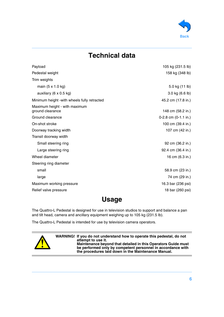

# **Technical data**

<span id="page-5-0"></span>

| Payload                                           | 105 kg (231.5 lb)    |
|---------------------------------------------------|----------------------|
| Pedestal weight                                   | 158 kg (348 lb)      |
| Trim weights                                      |                      |
| main (5 x 1.0 kg)                                 | 5.0 kg (11 lb)       |
| auxiliary (6 x 0.5 kg)                            | 3.0 kg (6.6 lb)      |
| Minimum height -with wheels fully retracted       | 45.2 cm (17.8 in.)   |
| Maximum height - with maximum<br>ground clearance | 148 cm (58.2 in.)    |
| Ground clearance                                  | 0-2.8 cm (0-1.1 in.) |
| On-shot stroke                                    | 100 cm (39.4 in.)    |
| Doorway tracking width                            | 107 cm (42 in.)      |
| Transit doorway width                             |                      |
| Small steering ring                               | 92 cm (36.2 in.)     |
| Large steering ring                               | 92.4 cm (36.4 in.)   |
| Wheel diameter                                    | 16 cm (6.3 in.)      |
| Steering ring diameter                            |                      |
| small                                             | 58.9 cm (23 in.)     |
| large                                             | 74 cm (29 in.)       |
| Maximum working pressure                          | 16.3 bar (236 psi)   |
| Relief valve pressure                             | 18 bar (260 psi)     |

# **Usage**

<span id="page-5-1"></span>The Quattro-L Pedestal is designed for use in television studios to support and balance a pan and tilt head, camera and ancillary equipment weighing up to 105 kg (231.5 lb).

The Quattro-L Pedestal is intended for use by television camera operators.



**WARNING! If you do not understand how to operate this pedestal, do not attempt to use it. Maintenance beyond that detailed in this Operators Guide must be performed only by competent personnel in accordance with the procedures laid down in the Maintenance Manual.**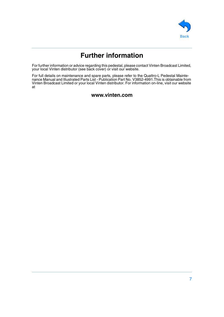

# **Further information**

<span id="page-6-0"></span>For further information or advice regarding this pedestal, please contact Vinten Broadcast Limited, your local Vinten distributor (see back cover) or visit our website.

For full details on maintenance and spare parts, please refer to the Quattro-L Pedestal Maintenance Manual and Illustrated Parts List - Publication Part No. V3852-4991.This is obtainable from Vinten Broadcast Limited or your local Vinten distributor. For information on-line, visit our website at

#### **www.vinten.com**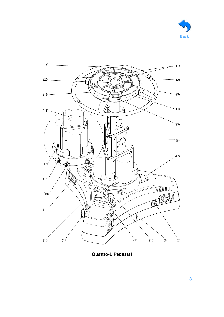<span id="page-7-18"></span><span id="page-7-7"></span><span id="page-7-6"></span><span id="page-7-3"></span><span id="page-7-2"></span><span id="page-7-0"></span>

<span id="page-7-5"></span><span id="page-7-4"></span><span id="page-7-1"></span>

<span id="page-7-19"></span><span id="page-7-17"></span><span id="page-7-16"></span><span id="page-7-15"></span><span id="page-7-14"></span><span id="page-7-13"></span><span id="page-7-12"></span><span id="page-7-11"></span><span id="page-7-10"></span><span id="page-7-9"></span><span id="page-7-8"></span>**Quattro-L Pedestal**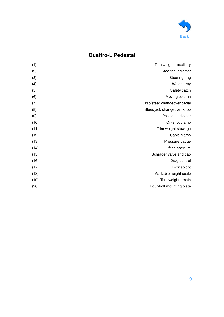

# **Quattro-L Pedestal**

| (1)  | Trim weight - auxiliary     |
|------|-----------------------------|
| (2)  | Steering indicator          |
| (3)  | Steering ring               |
| (4)  | Weight tray                 |
| (5)  | Safety catch                |
| (6)  | Moving column               |
| (7)  | Crab/steer changeover pedal |
| (8)  | Steer/jack changeover knob  |
| (9)  | Position indicator          |
| (10) | On-shot clamp               |
| (11) | Trim weight stowage         |
| (12) | Cable clamp                 |
| (13) | Pressure gauge              |
| (14) | Lifting aperture            |
| (15) | Schrader valve and cap      |
| (16) | Drag control                |
| (17) | Lock spigot                 |
| (18) | Markable height scale       |
| (19) | Trim weight - main          |
| (20) | Four-bolt mounting plate    |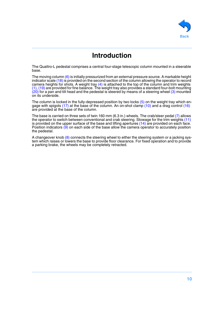

# **Introduction**

<span id="page-9-0"></span>The Quattro-L pedestal comprises a central four-stage telescopic column mounted in a steerable base.

The moving column  $(6)$  is initially pressurized from an external pressure source. A markable height indicator scale [\(18\)](#page-7-1) is provided on the second section of the column allowing the operator to record camera heights for shots. A weight tray  $(4)$  is attached to the top of the column and trim weights [\(1\)](#page-7-3), [\(19\)](#page-7-4) are provided for fine balance. The weight tray also provides a standard four-bolt mounting [\(20\)](#page-7-5) for a pan and tilt head and the pedestal is steered by means of a steering wheel [\(3\)](#page-7-6) mounted on its underside.

The column is locked in the fully-depressed position by two locks  $(5)$  on the weight tray which en-gage with spigots [\(17\)](#page-7-8) at the base of the column. An on-shot clamp [\(10\)](#page-7-9) and a drag control [\(16\)](#page-7-10) are provided at the base of the column.

The base is carried on three sets of twin 160 mm (6.3 in.) wheels. The crab/steer pedal [\(7\)](#page-7-11) allows the operator to switch between conventional and crab steering. Stowage for the trim weights [\(11\)](#page-7-12) is provided on the upper surface of the base and lifting apertures [\(14\)](#page-7-13) are provided on each face. Position indicators [\(9\)](#page-7-14) on each side of the base allow the camera operator to accurately position the pedestal.

A changeover knob [\(8\)](#page-7-15) connects the steering wheel to either the steering system or a jacking system which raises or lowers the base to provide floor clearance. For fixed operation and to provide a parking brake, the wheels may be completely retracted.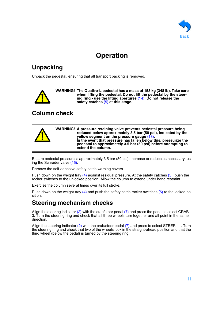

# **Operation**

# <span id="page-10-3"></span><span id="page-10-0"></span>**Unpacking**

Unpack the pedestal, ensuring that all transport packing is removed.



**WARNING! The Quattro-L pedestal has a mass of 158 kg (348 lb). Take care when lifting the pedestal. Do not lift the pedestal by the steering ring - use the lifting apertures** [\(14\)](#page-7-13)**. Do not release the safety catches** [\(5\)](#page-7-7) **at this stage.**

# <span id="page-10-1"></span>**Column check**

| <b>A</b><br><u>— О</u> |  | WARNING! A pressure retaining valve prevents pedestal pressure being<br>reduced below approximately 3.5 bar (50 psi), indicated by the<br>yellow segment on the pressure gauge (13).<br>In the event that pressure has fallen below this, pressurize the<br>pedestal to approximately 3.5 bar (50 psi) before attempting to<br>extend the column. |
|------------------------|--|---------------------------------------------------------------------------------------------------------------------------------------------------------------------------------------------------------------------------------------------------------------------------------------------------------------------------------------------------|
|------------------------|--|---------------------------------------------------------------------------------------------------------------------------------------------------------------------------------------------------------------------------------------------------------------------------------------------------------------------------------------------------|

Ensure pedestal pressure is approximately 3.5 bar (50 psi). Increase or reduce as necessary, us-ing the Schrader valve [\(15\).](#page-7-17)

Remove the self-adhesive safety catch warning covers.

Push down on the weight tray  $(4)$  against residual pressure. At the safety catches  $(5)$ , push the rocker switches to the unlocked position. Allow the column to extend under hand restraint.

Exercise the column several times over its full stroke.

Push down on the weight tray  $(4)$  and push the safety catch rocker switches  $(5)$  to the locked position.

# <span id="page-10-2"></span>**Steering mechanism checks**

Align the steering indicator  $(2)$  with the crab/steer pedal  $(7)$  and press the pedal to select CRAB -3. Turn the steering ring and check that all three wheels turn together and all point in the same direction.

Align the steering indicator [\(2\)](#page-7-18) with the crab/steer pedal [\(7\)](#page-7-11) and press to select STEER - 1. Turn the steering ring and check that two of the wheels lock in the straight-ahead position and that the third wheel (below the pedal) is turned by the steering ring.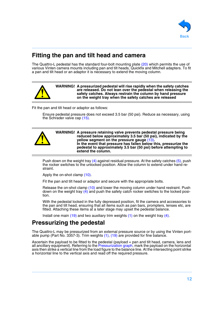

# <span id="page-11-0"></span>**Fitting the pan and tilt head and camera**

The Quattro-L pedestal has the standard four-bolt mounting plate [\(20\)](#page-7-5) which permits the use of various Vinten camera mounts including pan and tilt heads, Quickfix and Mitchell adapters. To fit a pan and tilt head or an adaptor it is necessary to extend the moving column.



**WARNING! A pressurized pedestal will rise rapidly when the safety catches are released. Do not lean over the pedestal when releasing the safety catches. Always restrain the column by hand pressure on the weight tray when the safety catches are released**

Fit the pan and tilt head or adaptor as follows:

Ensure pedestal pressure does not exceed 3.5 bar (50 psi). Reduce as necessary, using the Schrader valve cap [\(15\)](#page-7-17).



Push down on the weight tray [\(4\)](#page-7-2) against residual pressure. At the safety catches [\(5\)](#page-7-7), push the rocker switches to the unlocked position. Allow the column to extend under hand restraint.

Apply the on-shot clamp [\(10\)](#page-7-9).

Fit the pan and tilt head or adaptor and secure with the appropriate bolts.

Release the on-shot clamp [\(10\)](#page-7-9) and lower the moving column under hand restraint. Push down on the weight tray  $(4)$  and push the safety catch rocker switches to the locked position.

With the pedestal locked in the fully depressed position, fit the camera and accessories to the pan and tilt head, ensuring that all items such as pan bars, prompters, lenses etc, are fitted. Attaching these items at a later stage may upset the pedestal balance.

Install one main  $(19)$  and two auxiliary trim weights  $(1)$  on the weight tray  $(4)$ .

# <span id="page-11-1"></span>**Pressurizing the pedestal**

The Quattro-L may be pressurized from an external pressure source or by using the Vinten portable pump (Part No. 3357-3). Trim weights [\(1\),](#page-7-3) [\(19\)](#page-7-4) are provided for fine balance.

Ascertain the payload to be fitted to the pedestal (payload = pan and tilt head, camera, lens and all ancillary equipment). Referring to the [Pressurization graph](#page-12-0), mark the payload on the horizontal axis then strike a vertical line from the load figure to the balance line. At the intersecting point strike a horizontal line to the vertical axis and read off the required pressure.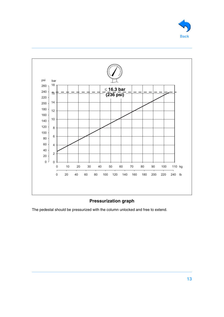



#### **Pressurization graph**

<span id="page-12-0"></span>The pedestal should be pressurized with the column unlocked and free to extend.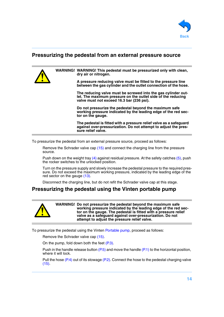

#### <span id="page-13-0"></span>**Pressurizing the pedestal from an external pressure source**



To pressurize the pedestal from an external pressure source, proceed as follows:

Remove the Schrader valve cap [\(15\)](#page-7-17) and connect the charging line from the pressure source.

Push down on the weight tray [\(4\)](#page-7-2) against residual pressure. At the safety catches [\(5\)](#page-7-7), push the rocker switches to the unlocked position.

Turn on the pressure supply and slowly increase the pedestal pressure to the required pressure. Do not exceed the maximum working pressure, indicated by the leading edge of the red sector on the gauge [\(13\)](#page-7-16).

Disconnect the charging line, but do not refit the Schrader valve cap at this stage.

#### <span id="page-13-1"></span>**Pressurizing the pedestal using the Vinten portable pump**



**WARNING! Do not pressurize the pedestal beyond the maximum safe working pressure indicated by the leading edge of the red sector on the gauge. The pedestal is fitted with a pressure relief valve as a safeguard against over-pressurization. Do not attempt to adjust the pressure relief valve.**

To pressurize the pedestal using the Vinten [Portable pump,](#page-14-0) proceed as follows:

Remove the Schrader valve cap [\(15\)](#page-7-17).

On the pump, fold down both the feet [\(P.3\)](#page-14-1).

Push in the handle release button  $(P.5)$  and move the handle  $(P.1)$  to the horizontal position, where it will lock.

Pull the hose [\(P.4\)](#page-14-4) out of its stowage [\(P.2\).](#page-14-5) Connect the hose to the pedestal charging valve [\(15\)](#page-7-17).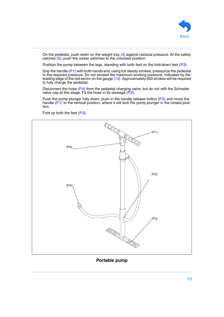

On the pedestal, push down on the weight tray  $(4)$  against residual pressure. At the safety catches [\(5\),](#page-7-7) push the rocker switches to the unlocked position.

Position the pump between the legs, standing with both feet on the fold-down feet [\(P.3\)](#page-14-1).

Grip the handle [\(P.1\)](#page-14-3) with both hands and, using full steady strokes, pressurize the pedestal to the required pressure. Do not exceed the maximum working pressure, indicated by the leading edge of the red sector on the gauge [\(13\).](#page-7-16) Approximately 600 strokes will be required to fully charge the pedestal.

Disconnect the hose  $(P, 4)$  from the pedestal charging valve, but do not refit the Schrader valve cap at this stage. Fit the hose in its stowage [\(P.2\).](#page-14-5)

Push the pump plunger fully down, push in the handle release button [\(P.5\)](#page-14-2) and move the handle [\(P.1\)](#page-14-3) to the vertical position, where it will lock the pump plunger in the closed position.



<span id="page-14-4"></span><span id="page-14-3"></span><span id="page-14-2"></span>Fold up both the feet [\(P.3\).](#page-14-1)

<span id="page-14-5"></span><span id="page-14-1"></span><span id="page-14-0"></span>**Portable pump**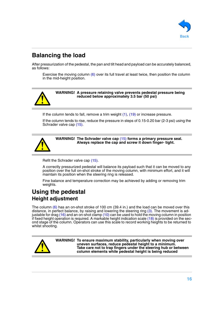

# <span id="page-15-0"></span>**Balancing the load**

After pressurization of the pedestal, the pan and tilt head and payload can be accurately balanced, as follows:

Exercise the moving column [\(6\)](#page-7-0) over its full travel at least twice, then position the column in the mid-height position.



**WARNING! A pressure retaining valve prevents pedestal pressure being reduced below approximately 3.5 bar (50 psi)**

If the column tends to fall, remove a trim weight  $(1)$ ,  $(19)$  or increase pressure.

If the column tends to rise, reduce the pressure in steps of 0.15-0.20 bar (2-3 psi) using the Schrader valve cap [\(15\)](#page-7-17).



**WARNING! The Schrader valve cap** [\(15\)](#page-7-17) **forms a primary pressure seal. Always replace the cap and screw it down finger- tight.**

Refit the Schrader valve cap [\(15\)](#page-7-17).

A correctly pressurized pedestal will balance its payload such that it can be moved to any position over the full on-shot stroke of the moving column, with minimum effort, and it will maintain its position when the steering ring is released.

Fine balance and temperature correction may be achieved by adding or removing trim weights.

### <span id="page-15-2"></span><span id="page-15-1"></span>**Using the pedestal Height adjustment**

The column  $(6)$  has an on-shot stroke of 100 cm (39.4 in.) and the load can be moved over this distance, in perfect balance, by raising and lowering the steering ring [\(3\).](#page-7-6) The movement is ad-justable for drag [\(16\)](#page-7-10) and an on-shot clamp [\(10\)](#page-7-9) can be used to hold the moving column in position if fixed height operation is required. A markable height indication scale [\(18\)](#page-7-1) is provided on the second stage of the column. Operators can use this scale to record working heights to be returned to whilst shooting.



**WARNING! To ensure maximum stability, particularly when moving over uneven surfaces, reduce pedestal height to a minimum. Take care not to trap fingers under the steering hub or between column elements while pedestal height is being reduced**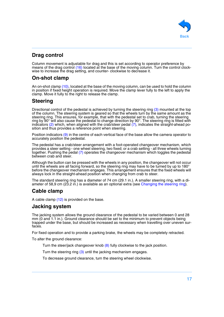

#### <span id="page-16-0"></span>**Drag control**

Column movement is adjustable for drag and this is set according to operator preference by means of the drag control [\(16\)](#page-7-10) located at the base of the moving column. Turn the control clockwise to increase the drag setting, and counter- clockwise to decrease it.

#### <span id="page-16-1"></span>**On-shot clamp**

An on-shot clamp [\(10\)](#page-7-9), located at the base of the moving column, can be used to hold the column in position if fixed height operation is required. Move the clamp lever fully to the left to apply the clamp. Move it fully to the right to release the clamp.

#### <span id="page-16-2"></span>**Steering**

Directional control of the pedestal is achieved by turning the steering ring [\(3\)](#page-7-6) mounted at the top of the column. The steering system is geared so that the wheels turn by the same amount as the steering ring. This ensures, for example, that with the pedestal set to crab, turning the steering ring by 90° will also cause the pedestal to change direction by 90°. The steering ring is fitted with indicators  $(2)$  which, when aligned with the crab/steer pedal  $(7)$ , indicates the straight-ahead position and thus provides a reference point when steering.

Position indicators [\(9\)](#page-7-14) in the centre of each vertical face of the base allow the camera operator to accurately position the pedestal.

The pedestal has a crab/steer arrangement with a foot-operated changeover mechanism, which provides a steer setting - one wheel steering, two fixed; or a crab setting - all three wheels turning together. Pushing the pedal [\(7\)](#page-7-11) operates the changeover mechanism which toggles the pedestal between crab and steer.

Although the button can be pressed with the wheels in any position, the changeover will not occur until the wheels are all facing forward, so the steering ring may have to be turned by up to 180° before the changeover mechanism engages. This arrangement ensures that the fixed wheels will always lock in the straight-ahead position when changing from crab to steer.

The standard steering ring has a diameter of 74 cm (29.1 in.). A smaller steering ring, with a diameter of 58,9 cm (23.2 in.) is available as an optional extra (see [Changing the steering ring](#page-21-0)).

#### <span id="page-16-3"></span>**Cable clamp**

A cable clamp [\(12\)](#page-7-19) is provided on the base.

#### <span id="page-16-4"></span>**Jacking system**

The jacking system allows the ground clearance of the pedestal to be varied between 0 and 28 mm (0 and 1.1 in.). Ground clearance should be set to the minimum to prevent objects being trapped under the base, but should be increased as necessary when travelling over uneven surfaces.

For fixed operation and to provide a parking brake, the wheels may be completely retracted.

To alter the ground clearance:

Turn the steer/jack changeover knob [\(8\)](#page-7-15) fully clockwise to the jack position.

Turn the steering ring [\(3\)](#page-7-6) until the jacking mechanism engages.

To decrease ground clearance, turn the steering wheel clockwise.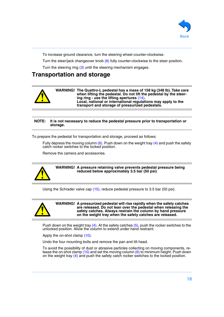

To increase ground clearance, turn the steering wheel counter-clockwise.

Turn the steer/jack changeover knob [\(8\)](#page-7-15) fully counter-clockwise to the steer position.

Turn the steering ring [\(3\)](#page-7-6) until the steering mechanism engages.

# <span id="page-17-0"></span>**Transportation and storage**



#### **NOTE: It is not necessary to reduce the pedestal pressure prior to transportation or storage.**

To prepare the pedestal for transportation and storage, proceed as follows:

Fully depress the moving column  $(6)$ . Push down on the weight tray  $(4)$  and push the safety catch rocker switches to the locked position.

Remove the camera and accessories.



#### **WARNING! A pressure retaining valve prevents pedestal pressure being reduced below approximately 3.5 bar (50 psi)**

Using the Schrader valve cap [\(15\)](#page-7-17), reduce pedestal pressure to 3.5 bar (50 psi).



**WARNING! A pressurized pedestal will rise rapidly when the safety catches are released. Do not lean over the pedestal when releasing the safety catches. Always restrain the column by hand pressure on the weight tray when the safety catches are released.**

Push down on the weight tray  $(4)$ . At the safety catches  $(5)$ , push the rocker switches to the unlocked position. Allow the column to extend under hand restraint.

Apply the on-shot clamp [\(10\)](#page-7-9).

Undo the four mounting bolts and remove the pan and tilt head.

To avoid the possibility of dust or abrasive particles collecting on moving components, release the on-shot clamp [\(10\)](#page-7-9) and set the moving column [\(6\)](#page-7-0) to minimum height. Push down on the weight tray [\(4\)](#page-7-2) and push the safety catch rocker switches to the locked position.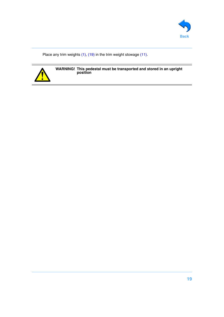

Place any trim weights [\(1\)](#page-7-3), [\(19\)](#page-7-4) in the trim weight stowage [\(11\)](#page-7-12).



**WARNING! This pedestal must be transported and stored in an upright position**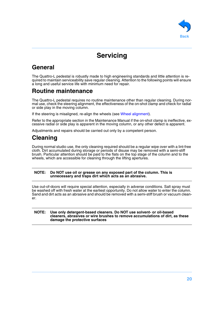

# **Servicing**

# <span id="page-19-1"></span><span id="page-19-0"></span>**General**

The Quattro-L pedestal is robustly made to high engineering standards and little attention is required to maintain serviceability save regular cleaning. Attention to the following points will ensure a long and useful service life with minimum need for repair.

# <span id="page-19-2"></span>**Routine maintenance**

The Quattro-L pedestal requires no routine maintenance other than regular cleaning. During normal use, check the steering alignment, the effectiveness of the on-shot clamp and check for radial or side play in the moving column.

If the steering is misaligned, re-align the wheels (see [Wheel alignment\)](#page-20-0).

Refer to the appropriate section in the Maintenance Manual if the on-shot clamp is ineffective, excessive radial or side play is apparent in the moving column, or any other defect is apparent.

Adjustments and repairs should be carried out only by a competent person.

# <span id="page-19-3"></span>**Cleaning**

During normal studio use, the only cleaning required should be a regular wipe over with a lint-free cloth. Dirt accumulated during storage or periods of disuse may be removed with a semi-stiff brush. Particular attention should be paid to the flats on the top stage of the column and to the wheels, which are accessible for cleaning through the lifting apertures.

#### **NOTE: Do NOT use oil or grease on any exposed part of the column. This is unnecessary and traps dirt which acts as an abrasive.**

Use out-of-doors will require special attention, especially in adverse conditions. Salt spray must be washed off with fresh water at the earliest opportunity. Do not allow water to enter the column. Sand and dirt acts as an abrasive and should be removed with a semi-stiff brush or vacuum cleaner.

#### **NOTE: Use only detergent-based cleaners. Do NOT use solvent- or oil-based cleaners, abrasives or wire brushes to remove accumulations of dirt, as these damage the protective surfaces**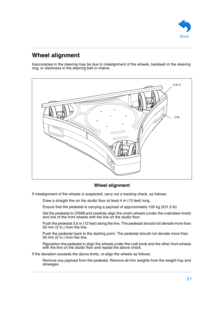<span id="page-20-1"></span>

# <span id="page-20-0"></span>**Wheel alignment**

Inaccuracies in the steering may be due to misalignment of the wheels, backlash in the steering ring, or slackness in the steering belt or chains.



#### **Wheel alignment**

If misalignment of the wheels is suspected, carry out a tracking check, as follows:

Draw a straight line on the studio floor at least 4 m (13 feet) long.

Ensure that the pedestal is carrying a payload of approximately 105 kg (231.5 lb)

Set the pedestal to CRAB and carefully align the clutch wheels (under the crab/steer knob) and one of the front wheels with the line on the studio floor.

Push the pedestal 3.6 m (12 feet) along the line. The pedestal should not deviate more than 50 mm  $(2 \text{ in.})$  from the line.

Push the pedestal back to the starting point. The pedestal should not deviate more than 50 mm (2 in.) from the line.

Reposition the pedestal to align the wheels under the crab knob and the other front wheels with the line on the studio floor and repeat the above check.

If the deviation exceeds the above limits, re-align the wheels as follows:

Remove any payload from the pedestal. Remove all trim weights from the weight tray and stowages.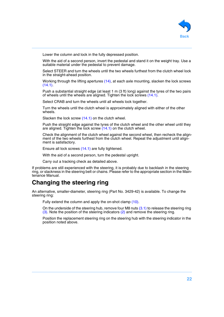

Lower the column and lock in the fully depressed position.

With the aid of a second person, invert the pedestal and stand it on the weight tray. Use a suitable material under the pedestal to prevent damage.

Select STEER and turn the wheels until the two wheels furthest from the clutch wheel lock in the straight-ahead position.

Working through the lifting apertures [\(14\)](#page-7-13), at each axle mounting, slacken the lock screws  $(14.1)$ 

Push a substantial straight edge (at least 1 m (3 ft) long) against the tyres of the two pairs of wheels until the wheels are aligned. Tighten the lock screws [\(14.1\)](#page-20-1).

Select CRAB and turn the wheels until all wheels lock together.

Turn the wheels until the clutch wheel is approximately aligned with either of the other wheels.

Slacken the lock screw [\(14.1\)](#page-20-1) on the clutch wheel.

Push the straight edge against the tyres of the clutch wheel and the other wheel until they are aligned. Tighten the lock screw  $(14.1)$  on the clutch wheel.

Check the alignment of the clutch wheel against the second wheel, then recheck the alignment of the two wheels furthest from the clutch wheel. Repeat the adjustment until alignment is satisfactory.

Ensure all lock screws [\(14.1\)](#page-20-1) are fully tightened.

With the aid of a second person, turn the pedestal upright.

Carry out a tracking check as detailed above.

If problems are still experienced with the steering, it is probably due to backlash in the steering ring, or slackness in the steering belt or chains. Please refer to the appropriate section in the Maintenance Manual.

# <span id="page-21-0"></span>**Changing the steering ring**

An alternative, smaller-diameter, steering ring (Part No. 3429-42) is available. To change the steering ring:

Fully extend the column and apply the on-shot clamp [\(10\).](#page-7-9)

On the underside of the steering hub, remove four M8 nuts [\(3.1\)](#page-22-0) to release the steering ring [\(3\).](#page-7-6) Note the position of the steering indicators [\(2\)](#page-7-18) and remove the steering ring.

Position the replacement steering ring on the steering hub with the steering indicator in the position noted above.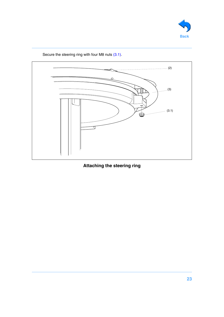<span id="page-22-0"></span>



Secure the steering ring with four M8 nuts  $(3.1)$ .

**Attaching the steering ring**